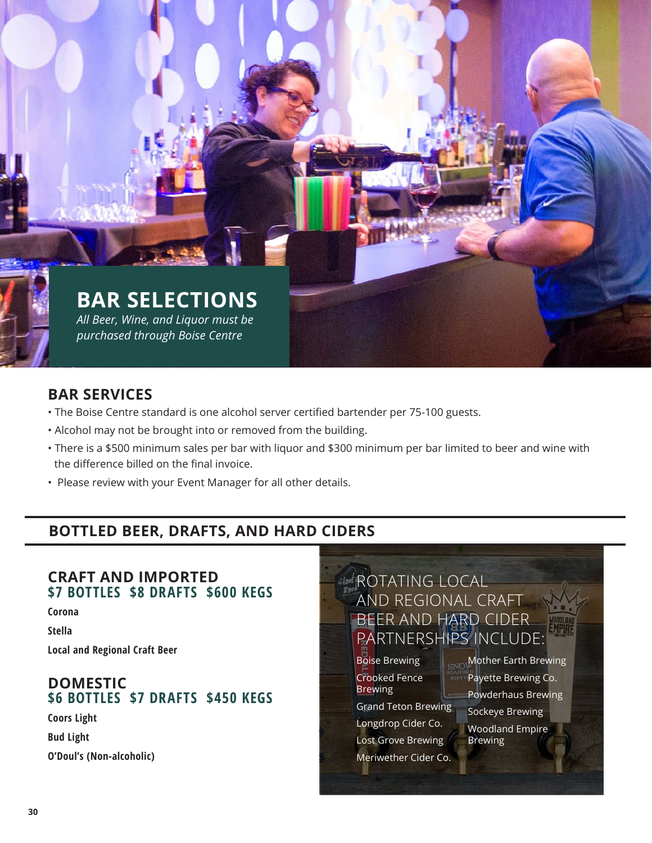# **BAR SELECTIONS** *All Beer, Wine, and Liquor must be purchased through Boise Centre*

# **BAR SERVICES**

- The Boise Centre standard is one alcohol server certified bartender per 75-100 guests.
- Alcohol may not be brought into or removed from the building.
- There is a \$500 minimum sales per bar with liquor and \$300 minimum per bar limited to beer and wine with the difference billed on the final invoice.
- Please review with your Event Manager for all other details.

# **BOTTLED BEER, DRAFTS, AND HARD CIDERS**

### **CRAFT AND IMPORTED \$7 BOTTLES \$8 DRAFTS \$600 KEGS**

**Corona**

**Stella**

**Local and Regional Craft Beer**

# **DOMESTIC \$6 BOTTLES \$7 DRAFTS \$450 KEGS**

**Coors Light**

**Bud Light**

**O'Doul's (Non-alcoholic)**